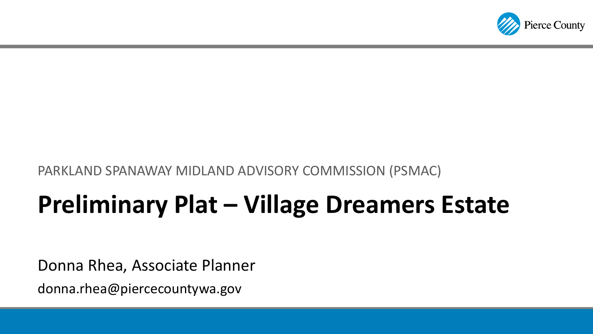

#### PARKLAND SPANAWAY MIDLAND ADVISORY COMMISSION (PSMAC)

# **Preliminary Plat – Village Dreamers Estate**

Donna Rhea, Associate Planner

donna.rhea@piercecountywa.gov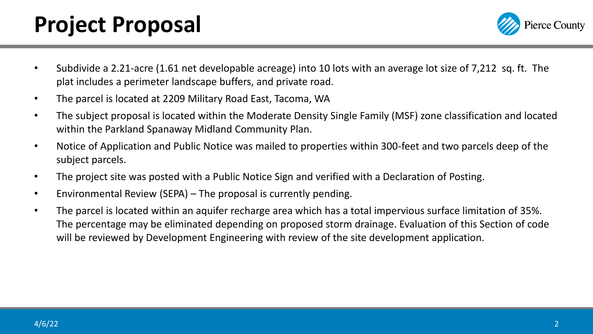#### **Project Proposal**



- Subdivide a 2.21-acre (1.61 net developable acreage) into 10 lots with an average lot size of 7,212 sq. ft. The plat includes a perimeter landscape buffers, and private road.
- The parcel is located at 2209 Military Road East, Tacoma, WA
- The subject proposal is located within the Moderate Density Single Family (MSF) zone classification and located within the Parkland Spanaway Midland Community Plan.
- Notice of Application and Public Notice was mailed to properties within 300-feet and two parcels deep of the subject parcels.
- The project site was posted with a Public Notice Sign and verified with a Declaration of Posting.
- Environmental Review (SEPA) The proposal is currently pending.
- The parcel is located within an aquifer recharge area which has a total impervious surface limitation of 35%. The percentage may be eliminated depending on proposed storm drainage. Evaluation of this Section of code will be reviewed by Development Engineering with review of the site development application.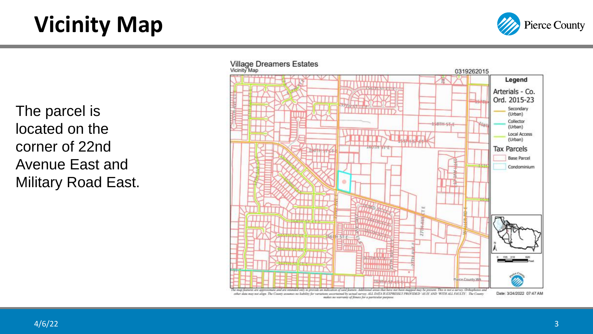## **Vicinity Map**



The parcel is located on the corner of 22nd Avenue East and Military Road East.

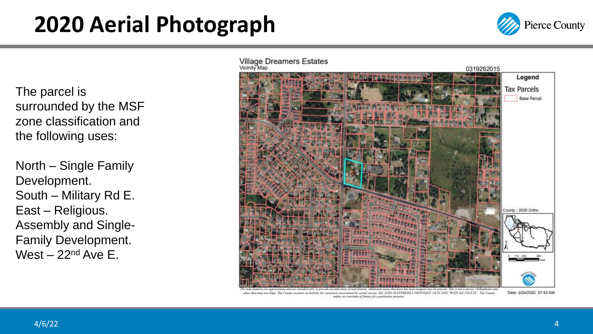#### **2020 Aerial Photograph**



The parcel is surrounded by the MSF zone classification and the following uses:

North – Single Family Development. South – Military Rd E. East – Religious. Assembly and Single - Family Development. West – 22<sup>nd</sup> Ave E.

**Village Dreamers Estates**<br>Vicinity Map



other data may not align. The County assumes no liability for variations area AS IS AND WITH ALL EVALUS. The Coun-

Date: 3/24/2022 07:42 AM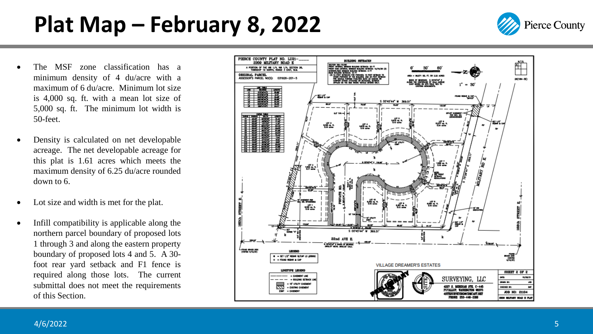### **Plat Map – February 8, 2022**

- The MSF zone classification has a minimum density of 4 du/acre with a maximum of 6 du/acre . Minimum lot size is 4 ,000 sq . ft . with a mean lot size of 5 ,000 sq . ft . The minimum lot width is 50 -feet .
- Density is calculated on net developable acreage . The net developable acreage for this plat is 1 .61 acres which meets the maximum density of 6 .25 du/acre rounded down to 6 .
- Lot size and width is met for the plat.
- Infill compatibility is applicable along the northern parcel boundary of proposed lots 1 through 3 and along the eastern property boundary of proposed lots 4 and 5. A 30foot rear yard setback and F 1 fence is required along those lots . The current submittal does not meet the requirements of this Section .



**Pierce County**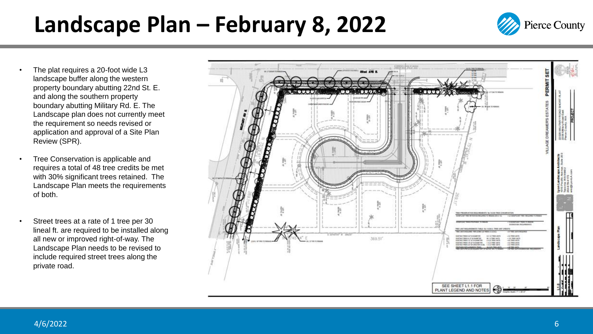#### **Landscape Plan – February 8, 2022**

**Pierce County** 

- The plat requires a 20-foot wide L3 landscape buffer along the western property boundary abutting 22nd St. E. and along the southern property boundary abutting Military Rd. E. The Landscape plan does not currently meet the requirement so needs revised or application and approval of a Site Plan Review (SPR).
- Tree Conservation is applicable and requires a total of 48 tree credits be met with 30% significant trees retained. The Landscape Plan meets the requirements of both.
- Street trees at a rate of 1 tree per 30 lineal ft. are required to be installed along all new or improved right-of-way. The Landscape Plan needs to be revised to include required street trees along the private road.

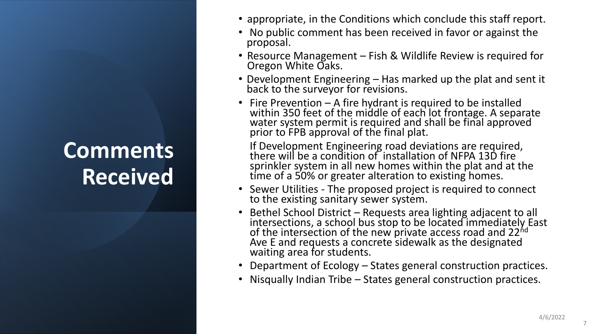## **Comments Received**

- appropriate, in the Conditions which conclude this staff report.
- No public comment has been received in favor or against the proposal.
- Resource Management Fish & Wildlife Review is required for Oregon White Oaks.
- Development Engineering Has marked up the plat and sent it back to the surveyor for revisions.
- Fire Prevention A fire hydrant is required to be installed within 350 feet of the middle of each lot frontage. A separate water system permit is required and shall be final approved prior to FPB approval of the final plat.

If Development Engineering road deviations are required, there will be a condition of installation of NFPA 13D fire sprinkler system in all new homes within the plat and at the time of a 50% or greater alteration to existing homes.

- Sewer Utilities The proposed project is required to connect to the existing sanitary sewer system.
- Bethel School District Requests area lighting adjacent to all intersections, a school bus stop to be located immediately East of the intersection of the new private access road and 22<sup>nd</sup> Ave E and requests a concrete sidewalk as the designated waiting area for students.
- Department of Ecology States general construction practices.
- Nisqually Indian Tribe States general construction practices.